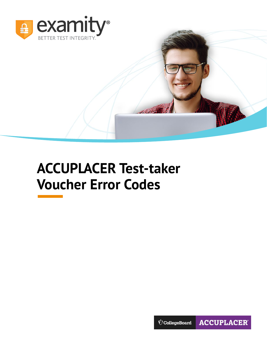

# **ACCUPLACER Test-taker Voucher Error Codes**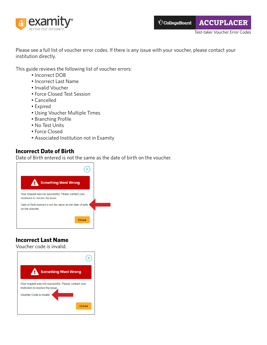

Please see a full list of voucher error codes. If there is any issue with your voucher, please contact your institution directly.

This guide reviews the following list of voucher errors:

- Incorrect DOB
- Incorrect Last Name
- Invalid Voucher
- Force Closed Test Session
- Cancelled
- Expired
- Using Voucher Multiple Times
- Branching Profile
- No Test Units
- Force Closed
- Associated Institution not in Examity

#### **Incorrect Date of Birth**

Date of Birth entered is not the same as the date of birth on the voucher.



## **Incorrect Last Name**

Voucher code is invalid.

| <b>Something Went Wrong</b>                                                               |  |
|-------------------------------------------------------------------------------------------|--|
| Your request was not successful. Please contact your<br>institution to resolve the issue. |  |
| Voucher Code is invalid                                                                   |  |
| Close                                                                                     |  |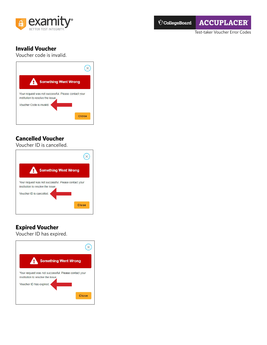



Test-taker Voucher Error Codes

#### **Invalid Voucher**

Voucher code is invalid.



## **Cancelled Voucher**

Voucher ID is cancelled.

| <b>Something Went Wrong</b>                                                               |       |
|-------------------------------------------------------------------------------------------|-------|
| Your request was not successful. Please contact your<br>institution to resolve the issue. |       |
| Voucher ID is cancelled.                                                                  |       |
|                                                                                           | Close |

# **Expired Voucher**

Voucher ID has expired.

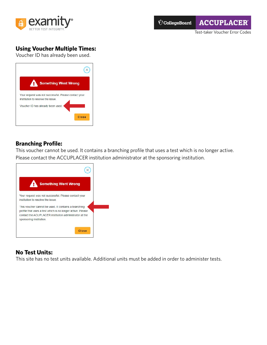

Test-taker Voucher Error Codes

# **Using Voucher Multiple Times:**

Voucher ID has already been used.

| <b>Something Went Wrong</b>                                                               |
|-------------------------------------------------------------------------------------------|
| Your request was not successful. Please contact your<br>institution to resolve the issue. |
| Voucher ID has already been used.                                                         |
| Close                                                                                     |
|                                                                                           |

#### **Branching Profile:**

This voucher cannot be used. It contains a branching profile that uses a test which is no longer active. Please contact the ACCUPLACER institution administrator at the sponsoring institution.



## **No Test Units:**

This site has no test units available. Additional units must be added in order to administer tests.